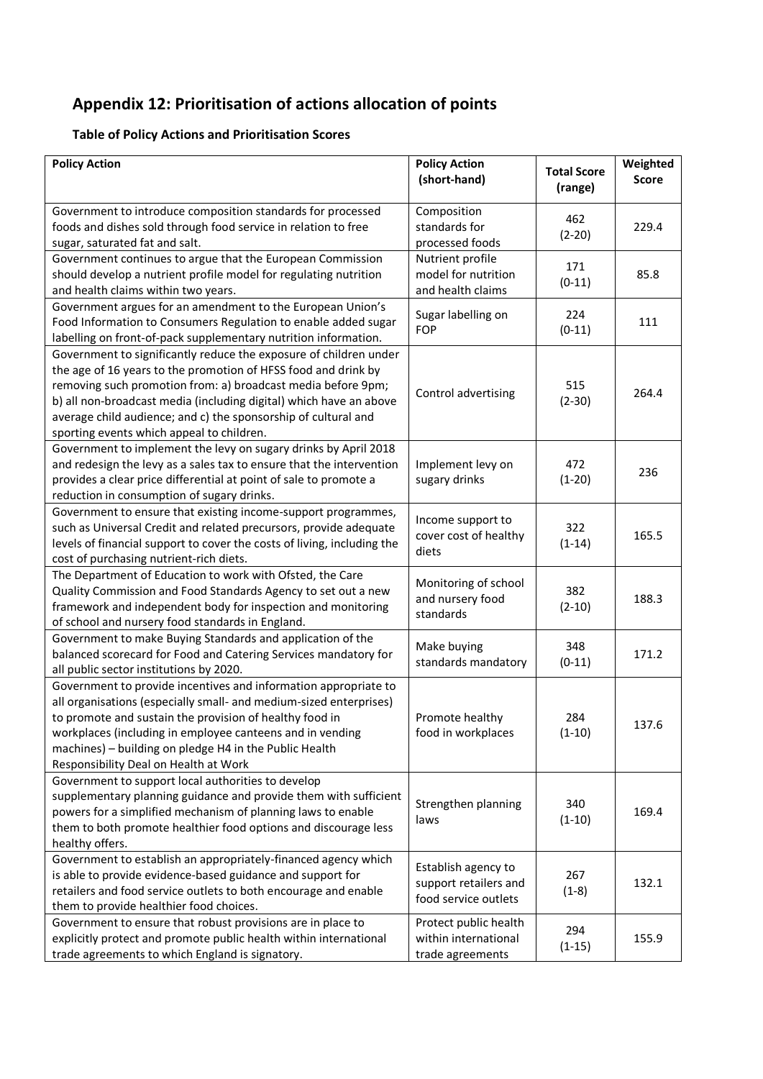## **Appendix 12: Prioritisation of actions allocation of points**

## **Table of Policy Actions and Prioritisation Scores**

| <b>Policy Action</b>                                                                            | <b>Policy Action</b>                                  |                               | Weighted     |
|-------------------------------------------------------------------------------------------------|-------------------------------------------------------|-------------------------------|--------------|
|                                                                                                 | (short-hand)                                          | <b>Total Score</b><br>(range) | <b>Score</b> |
| Government to introduce composition standards for processed                                     | Composition                                           |                               |              |
| foods and dishes sold through food service in relation to free                                  | standards for                                         | 462<br>$(2-20)$               | 229.4        |
| sugar, saturated fat and salt.                                                                  | processed foods                                       |                               |              |
| Government continues to argue that the European Commission                                      | Nutrient profile                                      | 171                           |              |
| should develop a nutrient profile model for regulating nutrition                                | model for nutrition                                   | $(0-11)$                      | 85.8         |
| and health claims within two years.                                                             | and health claims                                     |                               |              |
| Government argues for an amendment to the European Union's                                      | Sugar labelling on                                    | 224                           |              |
| Food Information to Consumers Regulation to enable added sugar                                  | <b>FOP</b>                                            | $(0-11)$                      | 111          |
| labelling on front-of-pack supplementary nutrition information.                                 |                                                       |                               |              |
| Government to significantly reduce the exposure of children under                               |                                                       |                               |              |
| the age of 16 years to the promotion of HFSS food and drink by                                  | Control advertising                                   | 515<br>$(2-30)$               | 264.4        |
| removing such promotion from: a) broadcast media before 9pm;                                    |                                                       |                               |              |
| b) all non-broadcast media (including digital) which have an above                              |                                                       |                               |              |
| average child audience; and c) the sponsorship of cultural and                                  |                                                       |                               |              |
| sporting events which appeal to children.                                                       |                                                       |                               |              |
| Government to implement the levy on sugary drinks by April 2018                                 |                                                       |                               |              |
| and redesign the levy as a sales tax to ensure that the intervention                            | Implement levy on                                     | 472                           | 236          |
| provides a clear price differential at point of sale to promote a                               | sugary drinks                                         | $(1-20)$                      |              |
| reduction in consumption of sugary drinks.                                                      |                                                       |                               |              |
| Government to ensure that existing income-support programmes,                                   | Income support to                                     |                               |              |
| such as Universal Credit and related precursors, provide adequate                               | cover cost of healthy                                 | 322                           | 165.5        |
| levels of financial support to cover the costs of living, including the                         | diets                                                 | $(1-14)$                      |              |
| cost of purchasing nutrient-rich diets.                                                         |                                                       |                               |              |
| The Department of Education to work with Ofsted, the Care                                       | Monitoring of school<br>and nursery food<br>standards | 382<br>$(2-10)$               | 188.3        |
| Quality Commission and Food Standards Agency to set out a new                                   |                                                       |                               |              |
| framework and independent body for inspection and monitoring                                    |                                                       |                               |              |
| of school and nursery food standards in England.                                                |                                                       |                               |              |
| Government to make Buying Standards and application of the                                      | Make buying<br>standards mandatory                    | 348<br>$(0-11)$               | 171.2        |
| balanced scorecard for Food and Catering Services mandatory for                                 |                                                       |                               |              |
| all public sector institutions by 2020.                                                         |                                                       |                               |              |
| Government to provide incentives and information appropriate to                                 |                                                       |                               |              |
| all organisations (especially small- and medium-sized enterprises)                              |                                                       |                               |              |
| to promote and sustain the provision of healthy food in                                         | Promote healthy                                       | 284                           | 137.6        |
| workplaces (including in employee canteens and in vending                                       | food in workplaces                                    | $(1-10)$                      |              |
| machines) - building on pledge H4 in the Public Health<br>Responsibility Deal on Health at Work |                                                       |                               |              |
| Government to support local authorities to develop                                              |                                                       |                               |              |
| supplementary planning guidance and provide them with sufficient                                |                                                       |                               |              |
| powers for a simplified mechanism of planning laws to enable                                    | Strengthen planning                                   | 340                           | 169.4        |
| them to both promote healthier food options and discourage less                                 | laws                                                  | $(1-10)$                      |              |
| healthy offers.                                                                                 |                                                       |                               |              |
| Government to establish an appropriately-financed agency which                                  |                                                       |                               |              |
| is able to provide evidence-based guidance and support for                                      | Establish agency to                                   | 267                           |              |
| retailers and food service outlets to both encourage and enable                                 | support retailers and                                 | $(1-8)$                       | 132.1        |
| them to provide healthier food choices.                                                         | food service outlets                                  |                               |              |
| Government to ensure that robust provisions are in place to                                     | Protect public health                                 |                               |              |
| explicitly protect and promote public health within international                               | within international                                  | 294                           | 155.9        |
| trade agreements to which England is signatory.                                                 | trade agreements                                      | $(1-15)$                      |              |